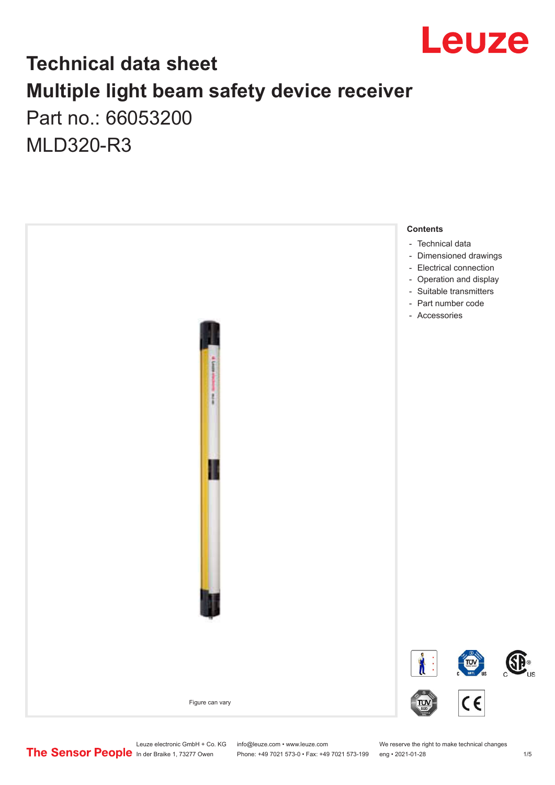

### **Technical data sheet Multiple light beam safety device receiver** Part no.: 66053200

MLD320-R3



Leuze electronic GmbH + Co. KG info@leuze.com • www.leuze.com We reserve the right to make technical changes<br>
The Sensor People in der Braike 1, 73277 Owen Phone: +49 7021 573-0 • Fax: +49 7021 573-199 eng • 2021-01-28

Phone: +49 7021 573-0 • Fax: +49 7021 573-199 eng • 2021-01-28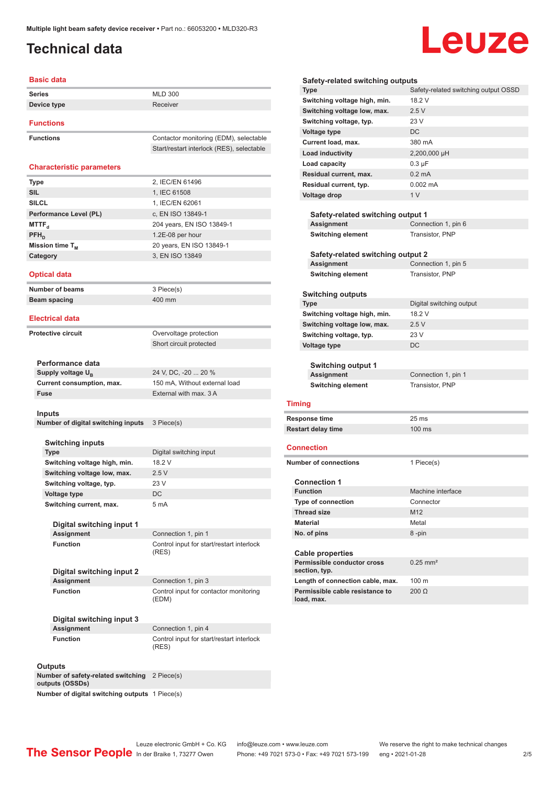#### <span id="page-1-0"></span>**Technical data**

# Leuze

| <b>Basic data</b>                      |                                                 |
|----------------------------------------|-------------------------------------------------|
| <b>Series</b>                          | <b>MLD 300</b>                                  |
| Device type                            | Receiver                                        |
|                                        |                                                 |
| <b>Functions</b>                       |                                                 |
| <b>Functions</b>                       | Contactor monitoring (EDM), selectable          |
|                                        | Start/restart interlock (RES), selectable       |
|                                        |                                                 |
| <b>Characteristic parameters</b>       |                                                 |
| <b>Type</b>                            | 2, IEC/EN 61496                                 |
| <b>SIL</b>                             | 1, IEC 61508                                    |
| <b>SILCL</b>                           | 1. IEC/EN 62061                                 |
| Performance Level (PL)                 | c, EN ISO 13849-1                               |
| <b>MTTF</b> <sub>d</sub>               | 204 years, EN ISO 13849-1                       |
| $PFH_{D}$                              | 1.2E-08 per hour                                |
| Mission time T <sub>M</sub>            | 20 years, EN ISO 13849-1                        |
| Category                               | 3, EN ISO 13849                                 |
| <b>Optical data</b>                    |                                                 |
|                                        |                                                 |
| <b>Number of beams</b><br>Beam spacing | 3 Piece(s)<br>400 mm                            |
|                                        |                                                 |
| <b>Electrical data</b>                 |                                                 |
| <b>Protective circuit</b>              | Overvoltage protection                          |
|                                        | Short circuit protected                         |
|                                        |                                                 |
| Performance data                       |                                                 |
| Supply voltage U <sub>R</sub>          | 24 V, DC, -20  20 %                             |
| Current consumption, max.              | 150 mA, Without external load                   |
| Fuse                                   | External with max. 3 A                          |
| Inputs                                 |                                                 |
| Number of digital switching inputs     | 3 Piece(s)                                      |
|                                        |                                                 |
| Switching inputs                       |                                                 |
| <b>Type</b>                            | Digital switching input                         |
| Switching voltage high, min.           | 18.2 V                                          |
| Switching voltage low, max.            | 2.5V                                            |
| Switching voltage, typ.                | 23 V                                            |
| Voltage type                           | DC                                              |
| Switching current, max.                | 5 mA                                            |
| Digital switching input 1              |                                                 |
| <b>Assignment</b>                      | Connection 1, pin 1                             |
| <b>Function</b>                        | Control input for start/restart interlock       |
|                                        | (RES)                                           |
|                                        |                                                 |
| Digital switching input 2              |                                                 |
| <b>Assignment</b>                      | Connection 1, pin 3                             |
| <b>Function</b>                        | Control input for contactor monitoring<br>(EDM) |
|                                        |                                                 |
| Digital switching input 3              |                                                 |
| <b>Assignment</b>                      | Connection 1, pin 4                             |
| <b>Function</b>                        | Control input for start/restart interlock       |
|                                        | (RES)                                           |
| Outpute                                |                                                 |

**Outputs Number of safety-related outputs (OSSDs)** 2 Piece(s)

**Number of digital switching** 

| шах.                  | z.ov                                               |                                             |
|-----------------------|----------------------------------------------------|---------------------------------------------|
|                       | 23 V                                               | <b>Connection 1</b>                         |
|                       | <b>DC</b>                                          | <b>Function</b>                             |
|                       | 5 mA                                               | <b>Type of connection</b>                   |
|                       |                                                    | <b>Thread size</b>                          |
| nput 1                |                                                    | <b>Material</b>                             |
|                       | Connection 1, pin 1                                | No. of pins                                 |
|                       | Control input for start/restart interlock          |                                             |
|                       | (RES)                                              | <b>Cable properties</b>                     |
| nput 2                |                                                    | Permissible conductor cros<br>section, typ. |
|                       | Connection 1, pin 3                                | Length of connection cable                  |
|                       | Control input for contactor monitoring<br>(EDM)    | Permissible cable resistand<br>load, max.   |
| nput 3                |                                                    |                                             |
|                       | Connection 1, pin 4                                |                                             |
|                       | Control input for start/restart interlock<br>(RES) |                                             |
| switching             | 2 Piece(s)                                         |                                             |
| ng outputs 1 Piece(s) |                                                    |                                             |

|                 | Switching voltage low, max.             | 2.5V                     |  |
|-----------------|-----------------------------------------|--------------------------|--|
|                 | Switching voltage, typ.                 | 23 V                     |  |
|                 | Voltage type                            | DC                       |  |
|                 | Current load, max.                      | 380 mA                   |  |
|                 | <b>Load inductivity</b>                 | 2,200,000 µH             |  |
|                 | Load capacity                           | $0.3 \mu F$              |  |
|                 | Residual current, max.                  | $0.2 \text{ mA}$         |  |
|                 | Residual current, typ.                  | $0.002 \, \text{mA}$     |  |
|                 | Voltage drop                            | 1 <sub>V</sub>           |  |
|                 |                                         |                          |  |
|                 | Safety-related switching output 1       |                          |  |
|                 | Assignment                              | Connection 1, pin 6      |  |
|                 | <b>Switching element</b>                | Transistor, PNP          |  |
|                 |                                         |                          |  |
|                 | Safety-related switching output 2       |                          |  |
|                 | Assignment                              | Connection 1, pin 5      |  |
|                 | <b>Switching element</b>                | Transistor, PNP          |  |
|                 |                                         |                          |  |
|                 | <b>Switching outputs</b>                |                          |  |
|                 | Type                                    | Digital switching output |  |
|                 | Switching voltage high, min.            | 18.2 V                   |  |
|                 | Switching voltage low, max.             | 2.5V                     |  |
|                 | Switching voltage, typ.                 | 23 V                     |  |
|                 | Voltage type                            | DC                       |  |
|                 |                                         |                          |  |
|                 | <b>Switching output 1</b><br>Assignment | Connection 1, pin 1      |  |
|                 | <b>Switching element</b>                | Transistor, PNP          |  |
|                 |                                         |                          |  |
|                 | Timing                                  |                          |  |
|                 |                                         |                          |  |
|                 | Response time                           | 25 <sub>ms</sub>         |  |
|                 | <b>Restart delay time</b>               | 100 ms                   |  |
|                 | Connection                              |                          |  |
|                 | <b>Number of connections</b>            | 1 Piece(s)               |  |
|                 | <b>Connection 1</b>                     |                          |  |
|                 | <b>Function</b>                         | Machine interface        |  |
|                 | <b>Type of connection</b>               | Connector                |  |
|                 | <b>Thread size</b>                      | M <sub>12</sub>          |  |
| <b>Material</b> |                                         | Metal                    |  |
|                 | No. of pins                             | 8-pin                    |  |

**Type** Safety-related switching output OSSD

**Safety-related switching outputs**

**Switching voltage high, min.** 18.2 V

| Cable properties                              |                        |
|-----------------------------------------------|------------------------|
| Permissible conductor cross<br>section, typ.  | $0.25$ mm <sup>2</sup> |
| Length of connection cable, max.              | $100 \text{ m}$        |
| Permissible cable resistance to<br>load, max. | 200 O                  |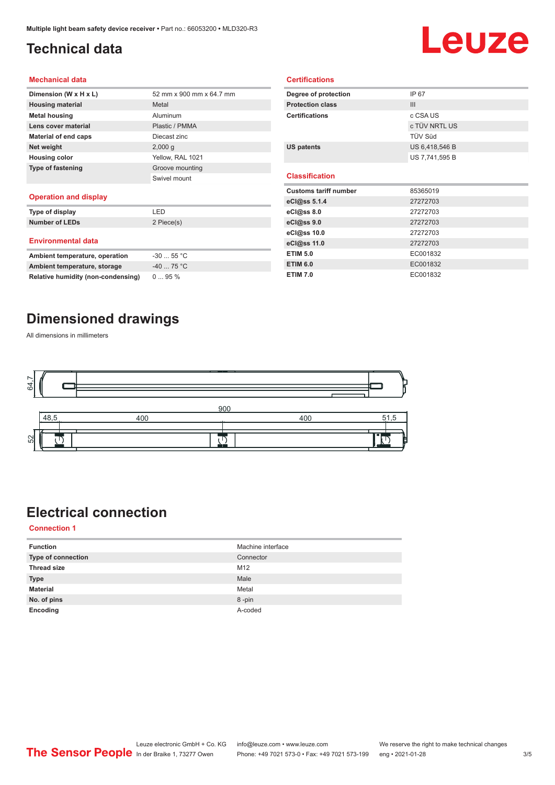#### <span id="page-2-0"></span>**Technical data**

## Leuze

#### **Mechanical data**

| Dimension (W x H x L)    | 52 mm x 900 mm x 64.7 mm |
|--------------------------|--------------------------|
| <b>Housing material</b>  | Metal                    |
| <b>Metal housing</b>     | Aluminum                 |
| Lens cover material      | Plastic / PMMA           |
| Material of end caps     | Diecast zinc             |
| Net weight               | 2,000q                   |
| <b>Housing color</b>     | Yellow, RAL 1021         |
| <b>Type of fastening</b> | Groove mounting          |
|                          | Swivel mount             |
|                          |                          |

#### **Operation and display**

| Type of display                | I FD        |
|--------------------------------|-------------|
| <b>Number of LEDs</b>          | 2 Piece(s)  |
| <b>Environmental data</b>      |             |
| Ambient temperature, operation | $-30$ 55 °C |
|                                | $\sim$      |

| Ambient temperature, operation     | $-30$ 55 °C |
|------------------------------------|-------------|
| Ambient temperature, storage       | $-40$ 75 °C |
| Relative humidity (non-condensing) | 095%        |

| Degree of protection         | IP 67          |
|------------------------------|----------------|
| <b>Protection class</b>      | III            |
| <b>Certifications</b>        | c CSA US       |
|                              | c TÜV NRTL US  |
|                              | TÜV Süd        |
| US patents                   | US 6,418,546 B |
|                              | US 7,741,595 B |
|                              |                |
| <b>Classification</b>        |                |
|                              |                |
| <b>Customs tariff number</b> | 85365019       |
| eCl@ss 5.1.4                 | 27272703       |
| eCl@ss 8.0                   | 27272703       |
| eCl@ss 9.0                   | 27272703       |
| eCl@ss 10.0                  | 27272703       |
| eCl@ss 11.0                  | 27272703       |
| <b>ETIM 5.0</b>              | EC001832       |

**ETIM 7.0** EC001832

**Certifications**

#### **Dimensioned drawings**

All dimensions in millimeters



### **Electrical connection**

**Connection 1**

| <b>Function</b>    | Machine interface |
|--------------------|-------------------|
| Type of connection | Connector         |
| <b>Thread size</b> | M12               |
| <b>Type</b>        | Male              |
| <b>Material</b>    | Metal             |
| No. of pins        | 8-pin             |
| Encoding           | A-coded           |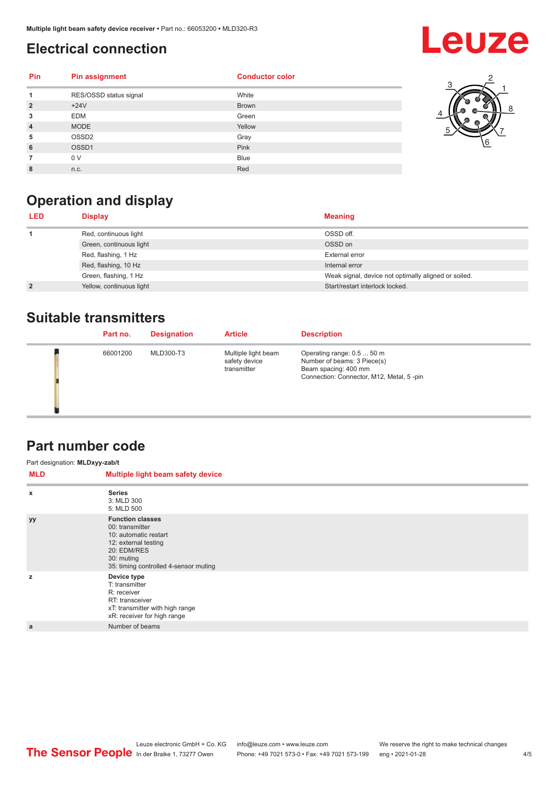#### <span id="page-3-0"></span>**Electrical connection**

## **Leuze**

| <b>Pin</b>     | <b>Pin assignment</b>  | <b>Conductor color</b> |
|----------------|------------------------|------------------------|
| 1              | RES/OSSD status signal | White                  |
| $\overline{2}$ | $+24V$                 | <b>Brown</b>           |
| 3              | <b>EDM</b>             | Green                  |
| $\overline{4}$ | <b>MODE</b>            | Yellow                 |
| 5              | OSSD <sub>2</sub>      | Gray                   |
| 6              | OSSD1                  | Pink                   |
|                | 0 V                    | <b>Blue</b>            |
| 8              | n.c.                   | Red                    |



### **Operation and display**

| <b>LED</b>     | <b>Display</b>           | <b>Meaning</b>                                       |
|----------------|--------------------------|------------------------------------------------------|
|                | Red, continuous light    | OSSD off.                                            |
|                | Green, continuous light  | OSSD on                                              |
|                | Red, flashing, 1 Hz      | External error                                       |
|                | Red, flashing, 10 Hz     | Internal error                                       |
|                | Green, flashing, 1 Hz    | Weak signal, device not optimally aligned or soiled. |
| $\overline{2}$ | Yellow, continuous light | Start/restart interlock locked.                      |

#### **Suitable transmitters**

| Part no. | <b>Designation</b> | <b>Article</b>                                      | <b>Description</b>                                                                                                            |
|----------|--------------------|-----------------------------------------------------|-------------------------------------------------------------------------------------------------------------------------------|
| 66001200 | MLD300-T3          | Multiple light beam<br>safety device<br>transmitter | Operating range: 0.5  50 m<br>Number of beams: 3 Piece(s)<br>Beam spacing: 400 mm<br>Connection: Connector, M12, Metal, 5-pin |

#### **Part number code**

| Part designation: MLDxyy-zab/t |                                                                                                                                                                   |  |  |  |
|--------------------------------|-------------------------------------------------------------------------------------------------------------------------------------------------------------------|--|--|--|
| MLD                            | Multiple light beam safety device                                                                                                                                 |  |  |  |
| $\boldsymbol{\mathsf{x}}$      | <b>Series</b><br>3: MLD 300<br>5: MLD 500                                                                                                                         |  |  |  |
| <b>yy</b>                      | <b>Function classes</b><br>00: transmitter<br>10: automatic restart<br>12: external testing<br>20: EDM/RES<br>30: muting<br>35: timing controlled 4-sensor muting |  |  |  |
| z                              | Device type<br>T: transmitter<br>R: receiver<br>RT: transceiver<br>xT: transmitter with high range<br>xR: receiver for high range                                 |  |  |  |
| a                              | Number of beams                                                                                                                                                   |  |  |  |